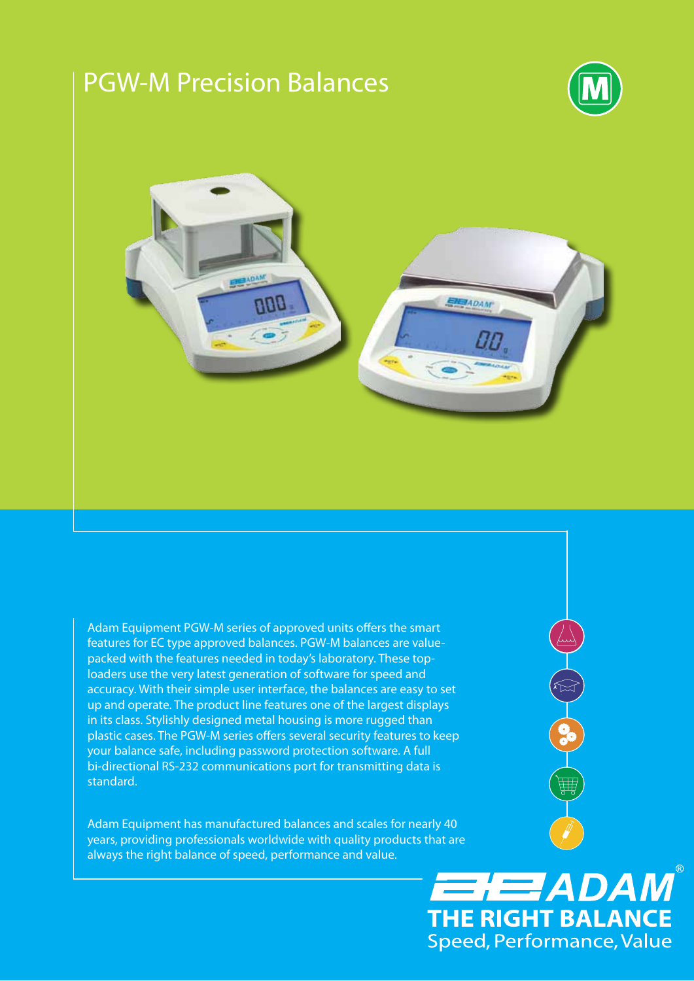# PGW-M Precision Balances



OCTO CO

笽

**HEZADAM**®

**THE RIGHT BALANCE** Speed, Performance, Value



Adam Equipment PGW-M series of approved units offers the smart features for EC type approved balances. PGW-M balances are valuepacked with the features needed in today's laboratory. These toploaders use the very latest generation of software for speed and accuracy. With their simple user interface, the balances are easy to set up and operate. The product line features one of the largest displays in its class. Stylishly designed metal housing is more rugged than plastic cases. The PGW-M series offers several security features to keep your balance safe, including password protection software. A full bi-directional RS-232 communications port for transmitting data is standard.

Adam Equipment has manufactured balances and scales for nearly 40 years, providing professionals worldwide with quality products that are always the right balance of speed, performance and value.